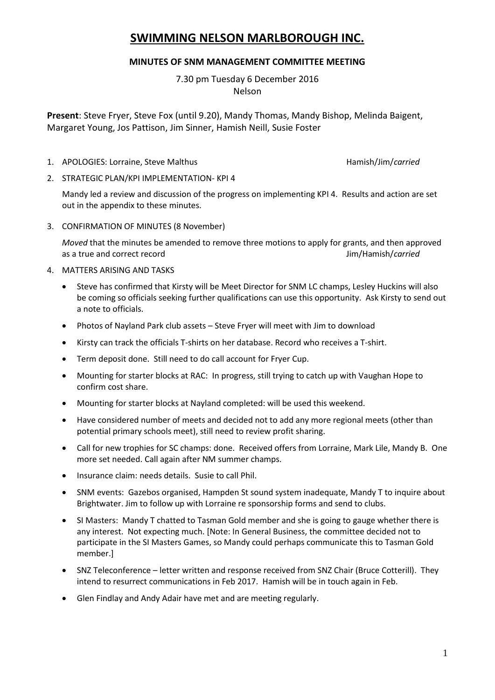# **SWIMMING NELSON MARLBOROUGH INC.**

### **MINUTES OF SNM MANAGEMENT COMMITTEE MEETING**

7.30 pm Tuesday 6 December 2016 Nelson

**Present**: Steve Fryer, Steve Fox (until 9.20), Mandy Thomas, Mandy Bishop, Melinda Baigent, Margaret Young, Jos Pattison, Jim Sinner, Hamish Neill, Susie Foster

1. APOLOGIES: Lorraine, Steve Malthus **Hamish/Jim/carried** Hamish/Jim/carried

2. STRATEGIC PLAN/KPI IMPLEMENTATION- KPI 4

Mandy led a review and discussion of the progress on implementing KPI 4. Results and action are set out in the appendix to these minutes.

3. CONFIRMATION OF MINUTES (8 November)

*Moved* that the minutes be amended to remove three motions to apply for grants, and then approved as a true and correct record Jim/Hamish/*carried*

- 4. MATTERS ARISING AND TASKS
	- Steve has confirmed that Kirsty will be Meet Director for SNM LC champs, Lesley Huckins will also be coming so officials seeking further qualifications can use this opportunity. Ask Kirsty to send out a note to officials.
	- Photos of Nayland Park club assets Steve Fryer will meet with Jim to download
	- Kirsty can track the officials T-shirts on her database. Record who receives a T-shirt.
	- Term deposit done. Still need to do call account for Fryer Cup.
	- Mounting for starter blocks at RAC: In progress, still trying to catch up with Vaughan Hope to confirm cost share.
	- Mounting for starter blocks at Nayland completed: will be used this weekend.
	- Have considered number of meets and decided not to add any more regional meets (other than potential primary schools meet), still need to review profit sharing.
	- Call for new trophies for SC champs: done. Received offers from Lorraine, Mark Lile, Mandy B. One more set needed. Call again after NM summer champs.
	- Insurance claim: needs details. Susie to call Phil.
	- SNM events: Gazebos organised, Hampden St sound system inadequate, Mandy T to inquire about Brightwater. Jim to follow up with Lorraine re sponsorship forms and send to clubs.
	- SI Masters: Mandy T chatted to Tasman Gold member and she is going to gauge whether there is any interest. Not expecting much. [Note: In General Business, the committee decided not to participate in the SI Masters Games, so Mandy could perhaps communicate this to Tasman Gold member.]
	- SNZ Teleconference letter written and response received from SNZ Chair (Bruce Cotterill). They intend to resurrect communications in Feb 2017. Hamish will be in touch again in Feb.
	- Glen Findlay and Andy Adair have met and are meeting regularly.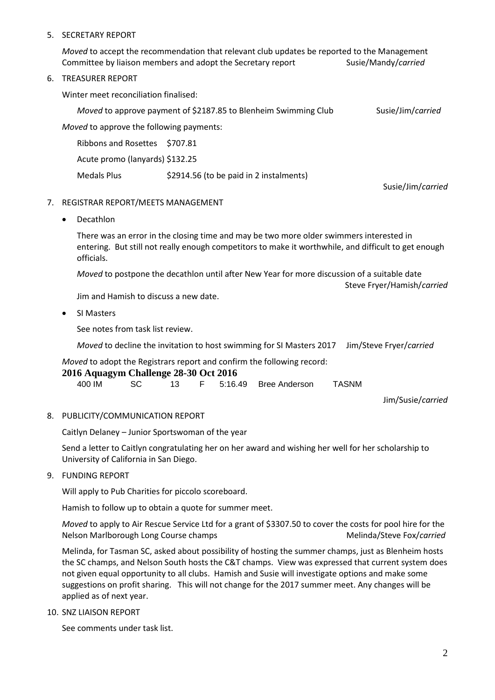#### 5. SECRETARY REPORT

*Moved* to accept the recommendation that relevant club updates be reported to the Management Committee by liaison members and adopt the Secretary report Susie/Mandy/*carried* 

#### 6. TREASURER REPORT

Winter meet reconciliation finalised:

*Moved* to approve payment of \$2187.85 to Blenheim Swimming Club Susie/Jim/*carried* 

*Moved* to approve the following payments:

| Ribbons and Rosettes \$707.81   |                                         |  |  |  |
|---------------------------------|-----------------------------------------|--|--|--|
| Acute promo (lanyards) \$132.25 |                                         |  |  |  |
| Medals Plus                     | \$2914.56 (to be paid in 2 instalments) |  |  |  |

Susie/Jim/*carried*

#### 7. REGISTRAR REPORT/MEETS MANAGEMENT

• Decathlon

There was an error in the closing time and may be two more older swimmers interested in entering. But still not really enough competitors to make it worthwhile, and difficult to get enough officials.

*Moved* to postpone the decathlon until after New Year for more discussion of a suitable date Steve Fryer/Hamish/*carried*

Jim and Hamish to discuss a new date.

• SI Masters

See notes from task list review.

*Moved* to decline the invitation to host swimming for SI Masters 2017 Jim/Steve Fryer/*carried*

*Moved* to adopt the Registrars report and confirm the following record:

#### **2016 Aquagym Challenge 28-30 Oct 2016**

| 400 IM |  |  |  |  | F 5:16.49 Bree Anderson | TASNM |
|--------|--|--|--|--|-------------------------|-------|
|--------|--|--|--|--|-------------------------|-------|

Jim/Susie/*carried*

### 8. PUBLICITY/COMMUNICATION REPORT

Caitlyn Delaney – Junior Sportswoman of the year

Send a letter to Caitlyn congratulating her on her award and wishing her well for her scholarship to University of California in San Diego.

#### 9. FUNDING REPORT

Will apply to Pub Charities for piccolo scoreboard.

Hamish to follow up to obtain a quote for summer meet.

*Moved* to apply to Air Rescue Service Ltd for a grant of \$3307.50 to cover the costs for pool hire for the Nelson Marlborough Long Course champs Melinda/Steve Fox/*carried* 

Melinda, for Tasman SC, asked about possibility of hosting the summer champs, just as Blenheim hosts the SC champs, and Nelson South hosts the C&T champs. View was expressed that current system does not given equal opportunity to all clubs. Hamish and Susie will investigate options and make some suggestions on profit sharing. This will not change for the 2017 summer meet. Any changes will be applied as of next year.

10. SNZ LIAISON REPORT

See comments under task list.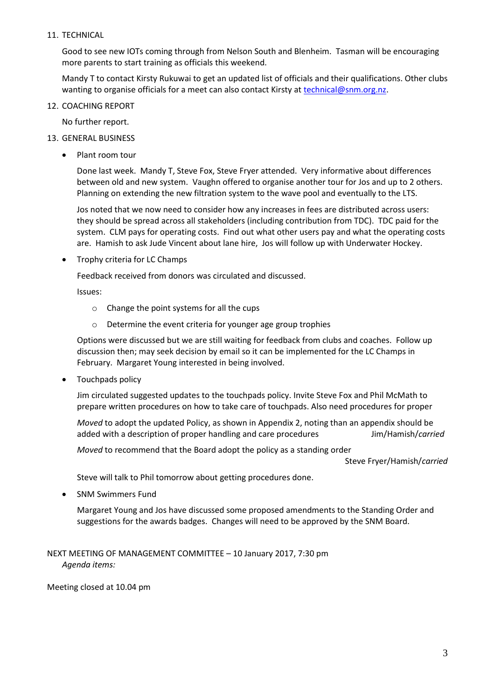#### 11. TECHNICAL

Good to see new IOTs coming through from Nelson South and Blenheim. Tasman will be encouraging more parents to start training as officials this weekend.

Mandy T to contact Kirsty Rukuwai to get an updated list of officials and their qualifications. Other clubs wanting to organise officials for a meet can also contact Kirsty at [technical@snm.org.nz.](mailto:technical@snm.org.nz)

#### 12. COACHING REPORT

No further report.

- 13. GENERAL BUSINESS
	- Plant room tour

Done last week. Mandy T, Steve Fox, Steve Fryer attended. Very informative about differences between old and new system. Vaughn offered to organise another tour for Jos and up to 2 others. Planning on extending the new filtration system to the wave pool and eventually to the LTS.

Jos noted that we now need to consider how any increases in fees are distributed across users: they should be spread across all stakeholders (including contribution from TDC). TDC paid for the system. CLM pays for operating costs. Find out what other users pay and what the operating costs are. Hamish to ask Jude Vincent about lane hire, Jos will follow up with Underwater Hockey.

• Trophy criteria for LC Champs

Feedback received from donors was circulated and discussed.

Issues:

- o Change the point systems for all the cups
- o Determine the event criteria for younger age group trophies

Options were discussed but we are still waiting for feedback from clubs and coaches. Follow up discussion then; may seek decision by email so it can be implemented for the LC Champs in February. Margaret Young interested in being involved.

• Touchpads policy

Jim circulated suggested updates to the touchpads policy. Invite Steve Fox and Phil McMath to prepare written procedures on how to take care of touchpads. Also need procedures for proper

*Moved* to adopt the updated Policy, as shown in Appendix 2, noting than an appendix should be added with a description of proper handling and care procedures Jim/Hamish/*carried*

*Moved* to recommend that the Board adopt the policy as a standing order

Steve Fryer/Hamish/*carried*

Steve will talk to Phil tomorrow about getting procedures done.

SNM Swimmers Fund

Margaret Young and Jos have discussed some proposed amendments to the Standing Order and suggestions for the awards badges. Changes will need to be approved by the SNM Board.

NEXT MEETING OF MANAGEMENT COMMITTEE – 10 January 2017, 7:30 pm *Agenda items:*

Meeting closed at 10.04 pm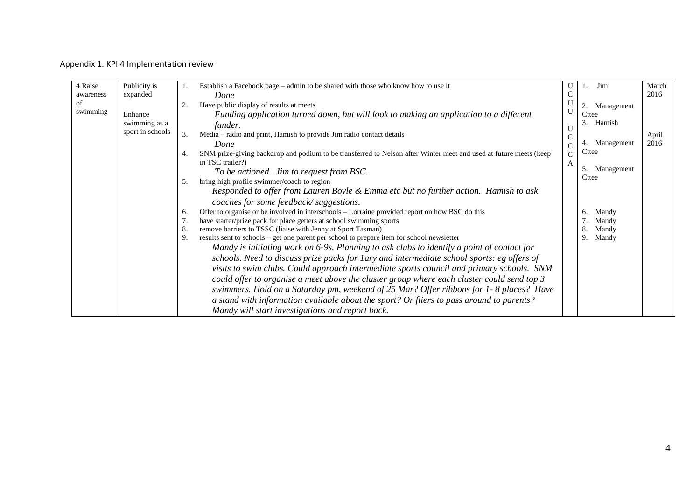### Appendix 1. KPI 4 Implementation review

| 4 Raise   | Publicity is     |                | Establish a Facebook page - admin to be shared with those who know how to use it                                  |              | Jim                       | March |
|-----------|------------------|----------------|-------------------------------------------------------------------------------------------------------------------|--------------|---------------------------|-------|
| awareness | expanded         |                | Done                                                                                                              |              |                           | 2016  |
| of        |                  | 2              | Have public display of results at meets                                                                           |              | Management                |       |
| swimming  | Enhance          |                | Funding application turned down, but will look to making an application to a different                            | U            | Cttee                     |       |
|           | swimming as a    |                | funder.                                                                                                           | U            | Hamish                    |       |
|           | sport in schools | $\mathfrak{Z}$ | Media - radio and print, Hamish to provide Jim radio contact details                                              |              |                           | April |
|           |                  |                | Done                                                                                                              | C            | Management                | 2016  |
|           |                  |                | SNM prize-giving backdrop and podium to be transferred to Nelson after Winter meet and used at future meets (keep | $\mathsf{C}$ | Cttee                     |       |
|           |                  |                | in TSC trailer?)                                                                                                  | A            |                           |       |
|           |                  |                | To be actioned. Jim to request from BSC.                                                                          |              | 5.<br>Management<br>Cttee |       |
|           |                  | -5.            | bring high profile swimmer/coach to region                                                                        |              |                           |       |
|           |                  |                | Responded to offer from Lauren Boyle & Emma etc but no further action. Hamish to ask                              |              |                           |       |
|           |                  |                | coaches for some feedback/suggestions.                                                                            |              |                           |       |
|           |                  | 6.             | Offer to organise or be involved in interschools - Lorraine provided report on how BSC do this                    |              | Mandy<br><sub>6</sub>     |       |
|           |                  | 7.             | have starter/prize pack for place getters at school swimming sports                                               |              | Mandy                     |       |
|           |                  | 8.             | remove barriers to TSSC (liaise with Jenny at Sport Tasman)                                                       |              | Mandy                     |       |
|           |                  | 9.             | results sent to schools - get one parent per school to prepare item for school newsletter                         |              | Mandy<br>9                |       |
|           |                  |                | Mandy is initiating work on 6-9s. Planning to ask clubs to identify a point of contact for                        |              |                           |       |
|           |                  |                | schools. Need to discuss prize packs for lary and intermediate school sports: eg offers of                        |              |                           |       |
|           |                  |                | visits to swim clubs. Could approach intermediate sports council and primary schools. SNM                         |              |                           |       |
|           |                  |                | could offer to organise a meet above the cluster group where each cluster could send top 3                        |              |                           |       |
|           |                  |                | swimmers. Hold on a Saturday pm, weekend of 25 Mar? Offer ribbons for 1-8 places? Have                            |              |                           |       |
|           |                  |                | a stand with information available about the sport? Or fliers to pass around to parents?                          |              |                           |       |
|           |                  |                | Mandy will start investigations and report back.                                                                  |              |                           |       |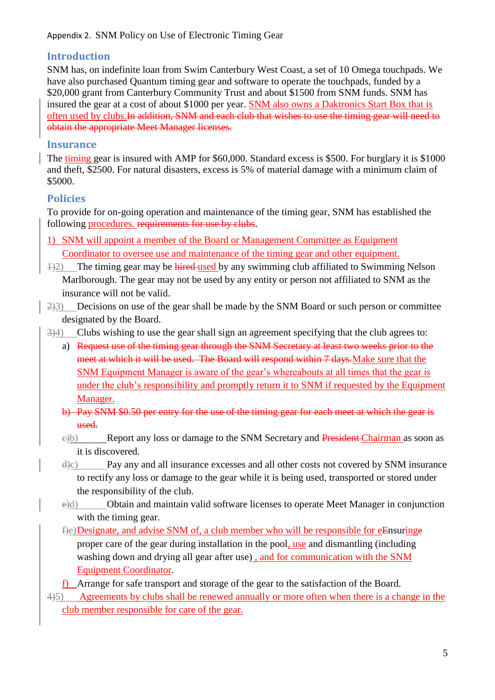## **Introduction**

SNM has, on indefinite loan from Swim Canterbury West Coast, a set of 10 Omega touchpads. We have also purchased Quantum timing gear and software to operate the touchpads, funded by a \$20,000 grant from Canterbury Community Trust and about \$1500 from SNM funds. SNM has insured the gear at a cost of about \$1000 per year. SNM also owns a Daktronics Start Box that is often used by clubs.In addition, SNM and each club that wishes to use the timing gear will need to obtain the appropriate Meet Manager licenses.

## **Insurance**

The timing gear is insured with AMP for \$60,000. Standard excess is \$500. For burglary it is \$1000 and theft, \$2500. For natural disasters, excess is 5% of material damage with a minimum claim of \$5000.

# **Policies**

To provide for on-going operation and maintenance of the timing gear, SNM has established the following procedures. requirements for use by clubs.

- 1) SNM will appoint a member of the Board or Management Committee as Equipment Coordinator to oversee use and maintenance of the timing gear and other equipment.
- $1/2$ ) The timing gear may be hired-used by any swimming club affiliated to Swimming Nelson Marlborough. The gear may not be used by any entity or person not affiliated to SNM as the insurance will not be valid.
- 2)3) Decisions on use of the gear shall be made by the SNM Board or such person or committee designated by the Board.
- 3)4) Clubs wishing to use the gear shall sign an agreement specifying that the club agrees to:
	- a) Request use of the timing gear through the SNM Secretary at least two weeks prior to the meet at which it will be used. The Board will respond within 7 days. Make sure that the SNM Equipment Manager is aware of the gear's whereabouts at all times that the gear is under the club's responsibility and promptly return it to SNM if requested by the Equipment Manager.
	- b) Pay SNM \$0.50 per entry for the use of the timing gear for each meet at which the gear is used.
	- e)b) Report any loss or damage to the SNM Secretary and President Chairman as soon as it is discovered.
	- $\dot{\theta}$  Pay any and all insurance excesses and all other costs not covered by SNM insurance to rectify any loss or damage to the gear while it is being used, transported or stored under the responsibility of the club.
	- e)d) Obtain and maintain valid software licenses to operate Meet Manager in conjunction with the timing gear.
	- f)e)Designate, and advise SNM of, a club member who will be responsible for eEnsuringe proper care of the gear during installation in the pool, use and dismantling (including washing down and drying all gear after use), and for communication with the SNM Equipment Coordinator.
	- f) Arrange for safe transport and storage of the gear to the satisfaction of the Board.
- 4)5) Agreements by clubs shall be renewed annually or more often when there is a change in the club member responsible for care of the gear.